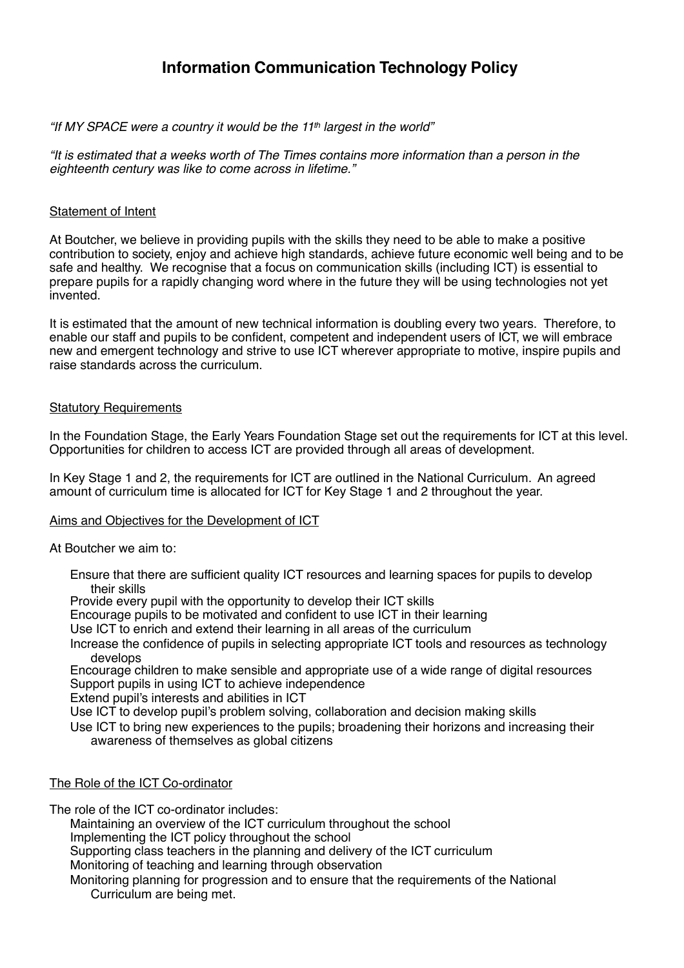# **Information Communication Technology Policy**

## *"If MY SPACE were a country it would be the 11th largest in the world"*

*"It is estimated that a weeks worth of The Times contains more information than a person in the eighteenth century was like to come across in lifetime."*

## Statement of Intent

At Boutcher, we believe in providing pupils with the skills they need to be able to make a positive contribution to society, enjoy and achieve high standards, achieve future economic well being and to be safe and healthy. We recognise that a focus on communication skills (including ICT) is essential to prepare pupils for a rapidly changing word where in the future they will be using technologies not yet invented.

It is estimated that the amount of new technical information is doubling every two years. Therefore, to enable our staff and pupils to be confident, competent and independent users of ICT, we will embrace new and emergent technology and strive to use ICT wherever appropriate to motive, inspire pupils and raise standards across the curriculum.

## **Statutory Requirements**

In the Foundation Stage, the Early Years Foundation Stage set out the requirements for ICT at this level. Opportunities for children to access ICT are provided through all areas of development.

In Key Stage 1 and 2, the requirements for ICT are outlined in the National Curriculum. An agreed amount of curriculum time is allocated for ICT for Key Stage 1 and 2 throughout the year.

# Aims and Objectives for the Development of ICT

At Boutcher we aim to:

Ensure that there are sufficient quality ICT resources and learning spaces for pupils to develop their skills

Provide every pupil with the opportunity to develop their ICT skills

Encourage pupils to be motivated and confident to use ICT in their learning

Use ICT to enrich and extend their learning in all areas of the curriculum

Increase the confidence of pupils in selecting appropriate ICT tools and resources as technology develops

Encourage children to make sensible and appropriate use of a wide range of digital resources Support pupils in using ICT to achieve independence

Extend pupil's interests and abilities in ICT

Use ICT to develop pupil's problem solving, collaboration and decision making skills

Use ICT to bring new experiences to the pupils; broadening their horizons and increasing their awareness of themselves as global citizens

#### The Role of the ICT Co-ordinator

The role of the ICT co-ordinator includes:

Maintaining an overview of the ICT curriculum throughout the school

Implementing the ICT policy throughout the school

Supporting class teachers in the planning and delivery of the ICT curriculum

Monitoring of teaching and learning through observation

Monitoring planning for progression and to ensure that the requirements of the National Curriculum are being met.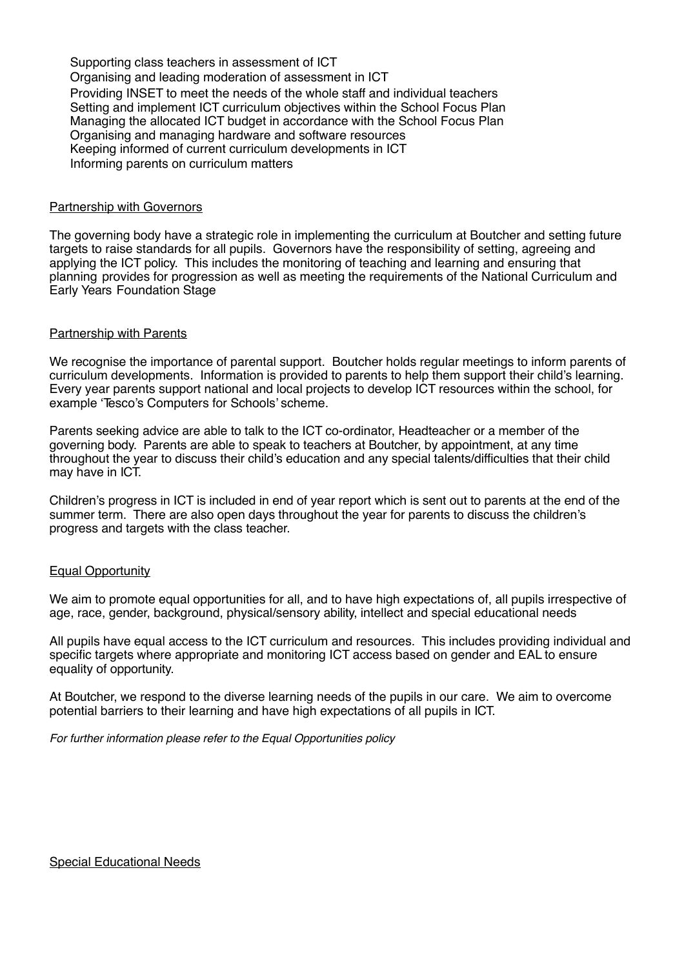Supporting class teachers in assessment of ICT Organising and leading moderation of assessment in ICT Providing INSET to meet the needs of the whole staff and individual teachers Setting and implement ICT curriculum objectives within the School Focus Plan Managing the allocated ICT budget in accordance with the School Focus Plan Organising and managing hardware and software resources Keeping informed of current curriculum developments in ICT Informing parents on curriculum matters

#### Partnership with Governors

The governing body have a strategic role in implementing the curriculum at Boutcher and setting future targets to raise standards for all pupils. Governors have the responsibility of setting, agreeing and applying the ICT policy. This includes the monitoring of teaching and learning and ensuring that planning provides for progression as well as meeting the requirements of the National Curriculum and Early Years Foundation Stage

#### Partnership with Parents

We recognise the importance of parental support. Boutcher holds regular meetings to inform parents of curriculum developments. Information is provided to parents to help them support their child's learning. Every year parents support national and local projects to develop ICT resources within the school, for example 'Tesco's Computers for Schools' scheme.

Parents seeking advice are able to talk to the ICT co-ordinator, Headteacher or a member of the governing body. Parents are able to speak to teachers at Boutcher, by appointment, at any time throughout the year to discuss their child's education and any special talents/difficulties that their child may have in ICT.

Children's progress in ICT is included in end of year report which is sent out to parents at the end of the summer term. There are also open days throughout the year for parents to discuss the children's progress and targets with the class teacher.

#### Equal Opportunity

We aim to promote equal opportunities for all, and to have high expectations of, all pupils irrespective of age, race, gender, background, physical/sensory ability, intellect and special educational needs

All pupils have equal access to the ICT curriculum and resources. This includes providing individual and specific targets where appropriate and monitoring ICT access based on gender and EAL to ensure equality of opportunity.

At Boutcher, we respond to the diverse learning needs of the pupils in our care. We aim to overcome potential barriers to their learning and have high expectations of all pupils in ICT.

*For further information please refer to the Equal Opportunities policy*

#### Special Educational Needs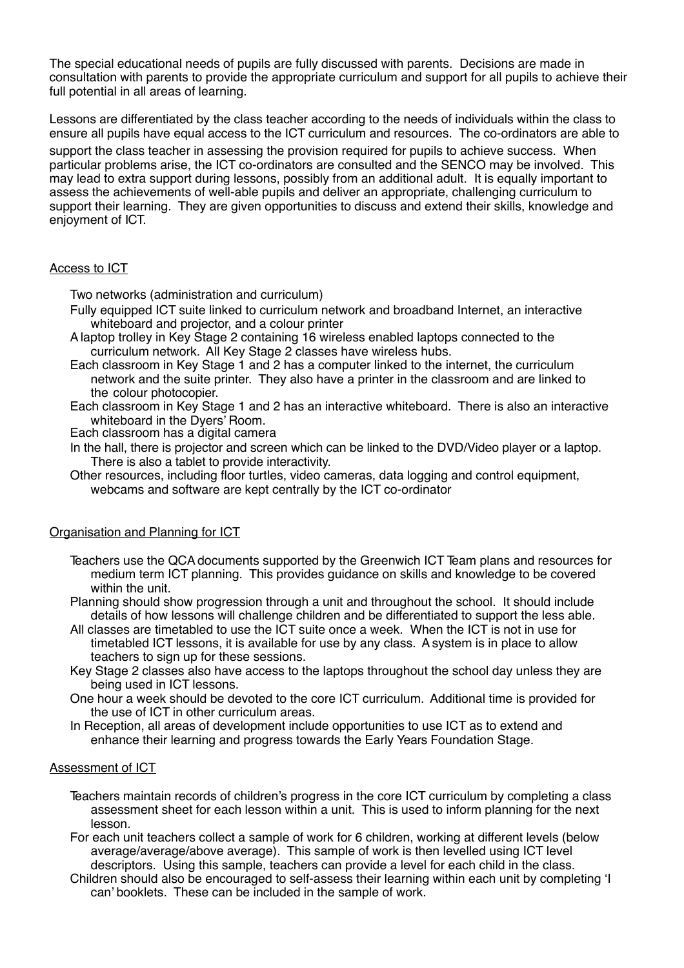The special educational needs of pupils are fully discussed with parents. Decisions are made in consultation with parents to provide the appropriate curriculum and support for all pupils to achieve their full potential in all areas of learning.

Lessons are differentiated by the class teacher according to the needs of individuals within the class to ensure all pupils have equal access to the ICT curriculum and resources. The co-ordinators are able to

support the class teacher in assessing the provision required for pupils to achieve success. When particular problems arise, the ICT co-ordinators are consulted and the SENCO may be involved. This may lead to extra support during lessons, possibly from an additional adult. It is equally important to assess the achievements of well-able pupils and deliver an appropriate, challenging curriculum to support their learning. They are given opportunities to discuss and extend their skills, knowledge and enjoyment of ICT.

## Access to ICT

Two networks (administration and curriculum)

- Fully equipped ICT suite linked to curriculum network and broadband Internet, an interactive whiteboard and projector, and a colour printer
- Alaptop trolley in Key Stage 2 containing 16 wireless enabled laptops connected to the curriculum network. All Key Stage 2 classes have wireless hubs.
- Each classroom in Key Stage 1 and 2 has a computer linked to the internet, the curriculum network and the suite printer. They also have a printer in the classroom and are linked to the colour photocopier.
- Each classroom in Key Stage 1 and 2 has an interactive whiteboard. There is also an interactive whiteboard in the Dyers' Room.
- Each classroom has a digital camera
- In the hall, there is projector and screen which can be linked to the DVD/Video player or a laptop. There is also a tablet to provide interactivity.
- Other resources, including floor turtles, video cameras, data logging and control equipment, webcams and software are kept centrally by the ICT co-ordinator

# Organisation and Planning for ICT

- Teachers use the QCAdocuments supported by the Greenwich ICT Team plans and resources for medium term ICT planning. This provides guidance on skills and knowledge to be covered within the unit.
- Planning should show progression through a unit and throughout the school. It should include details of how lessons will challenge children and be differentiated to support the less able.
- All classes are timetabled to use the ICT suite once a week. When the ICT is not in use for timetabled ICT lessons, it is available for use by any class. Asystem is in place to allow teachers to sign up for these sessions.
- Key Stage 2 classes also have access to the laptops throughout the school day unless they are being used in ICT lessons.
- One hour a week should be devoted to the core ICT curriculum. Additional time is provided for the use of ICT in other curriculum areas.
- In Reception, all areas of development include opportunities to use ICT as to extend and enhance their learning and progress towards the Early Years Foundation Stage.

#### Assessment of ICT

- Teachers maintain records of children's progress in the core ICT curriculum by completing a class assessment sheet for each lesson within a unit. This is used to inform planning for the next lesson.
- For each unit teachers collect a sample of work for 6 children, working at different levels (below average/average/above average). This sample of work is then levelled using ICT level descriptors. Using this sample, teachers can provide a level for each child in the class.
- Children should also be encouraged to self-assess their learning within each unit by completing 'I can' booklets. These can be included in the sample of work.